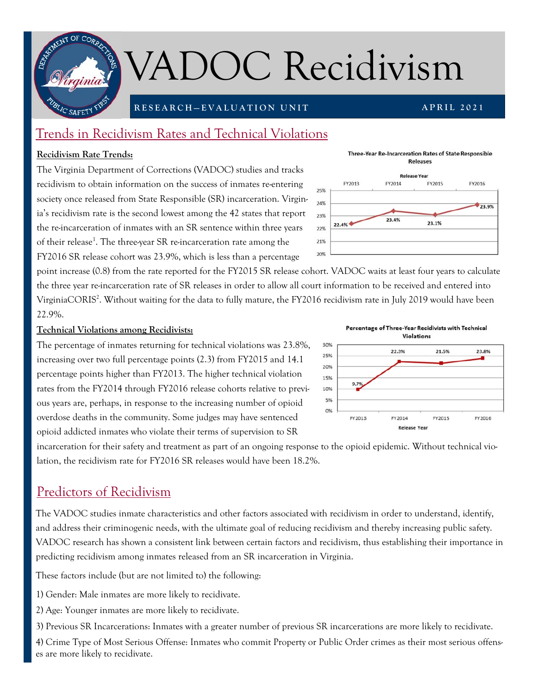

# VADOC Recidivism

#### **RESEARCH—EVALUATION UNIT**

**APRIL 2021** 

FY2016

 $23.9%$ 

Three-Year Re-Incarceration Rates of State Responsible Releases

FY2015

23.1%

FY2014

23.4%

FY2013

 $22.4%$ 

25% 24%

23%

22% 21% 20%

#### Trends in Recidivism Rates and Technical Violations

#### **Recidivism Rate Trends:**

The Virginia Department of Corrections (VADOC) studies and tracks recidivism to obtain information on the success of inmates re-entering society once released from State Responsible (SR) incarceration. Virginia's recidivism rate is the second lowest among the 42 states that report the re-incarceration of inmates with an SR sentence within three years of their release<sup>1</sup>. The three-year SR re-incarceration rate among the FY2016 SR release cohort was 23.9%, which is less than a percentage

point increase (0.8) from the rate reported for the FY2015 SR release cohort. VADOC waits at least four years to calculate the three year re-incarceration rate of SR releases in order to allow all court information to be received and entered into VirginiaCORIS<sup>2</sup>. Without waiting for the data to fully mature, the FY2016 recidivism rate in July 2019 would have been 22.9%.

#### **Technical Violations among Recidivists:**

The percentage of inmates returning for technical violations was 23.8%, increasing over two full percentage points (2.3) from FY2015 and 14.1 percentage points higher than FY2013. The higher technical violation rates from the FY2014 through FY2016 release cohorts relative to previous years are, perhaps, in response to the increasing number of opioid overdose deaths in the community. Some judges may have sentenced opioid addicted inmates who violate their terms of supervision to SR



incarceration for their safety and treatment as part of an ongoing response to the opioid epidemic. Without technical violation, the recidivism rate for FY2016 SR releases would have been 18.2%.

## Predictors of Recidivism

The VADOC studies inmate characteristics and other factors associated with recidivism in order to understand, identify, and address their criminogenic needs, with the ultimate goal of reducing recidivism and thereby increasing public safety. VADOC research has shown a consistent link between certain factors and recidivism, thus establishing their importance in predicting recidivism among inmates released from an SR incarceration in Virginia.

These factors include (but are not limited to) the following:

1) Gender: Male inmates are more likely to recidivate.

2) Age: Younger inmates are more likely to recidivate.

3) Previous SR Incarcerations: Inmates with a greater number of previous SR incarcerations are more likely to recidivate.

4) Crime Type of Most Serious Offense: Inmates who commit Property or Public Order crimes as their most serious offenses are more likely to recidivate.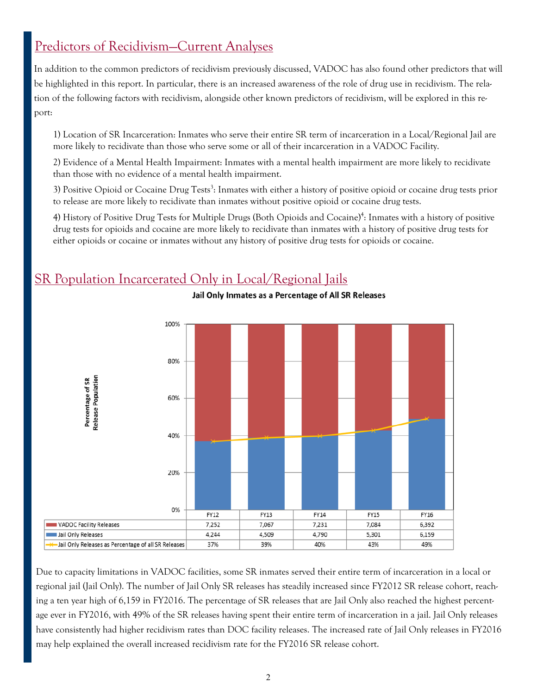# Predictors of Recidivism—Current Analyses

In addition to the common predictors of recidivism previously discussed, VADOC has also found other predictors that will be highlighted in this report. In particular, there is an increased awareness of the role of drug use in recidivism. The relation of the following factors with recidivism, alongside other known predictors of recidivism, will be explored in this report:

1) Location of SR Incarceration: Inmates who serve their entire SR term of incarceration in a Local/Regional Jail are more likely to recidivate than those who serve some or all of their incarceration in a VADOC Facility.

2) Evidence of a Mental Health Impairment: Inmates with a mental health impairment are more likely to recidivate than those with no evidence of a mental health impairment.

3) Positive Opioid or Cocaine Drug Tests<sup>3</sup>: Inmates with either a history of positive opioid or cocaine drug tests prior to release are more likely to recidivate than inmates without positive opioid or cocaine drug tests.

4) History of Positive Drug Tests for Multiple Drugs (Both Opioids and Cocaine)<sup>4</sup>: Inmates with a history of positive drug tests for opioids and cocaine are more likely to recidivate than inmates with a history of positive drug tests for either opioids or cocaine or inmates without any history of positive drug tests for opioids or cocaine.

Jail Only Inmates as a Percentage of All SR Releases



## SR Population Incarcerated Only in Local/Regional Jails

Due to capacity limitations in VADOC facilities, some SR inmates served their entire term of incarceration in a local or regional jail (Jail Only). The number of Jail Only SR releases has steadily increased since FY2012 SR release cohort, reaching a ten year high of 6,159 in FY2016. The percentage of SR releases that are Jail Only also reached the highest percentage ever in FY2016, with 49% of the SR releases having spent their entire term of incarceration in a jail. Jail Only releases have consistently had higher recidivism rates than DOC facility releases. The increased rate of Jail Only releases in FY2016 may help explained the overall increased recidivism rate for the FY2016 SR release cohort.

2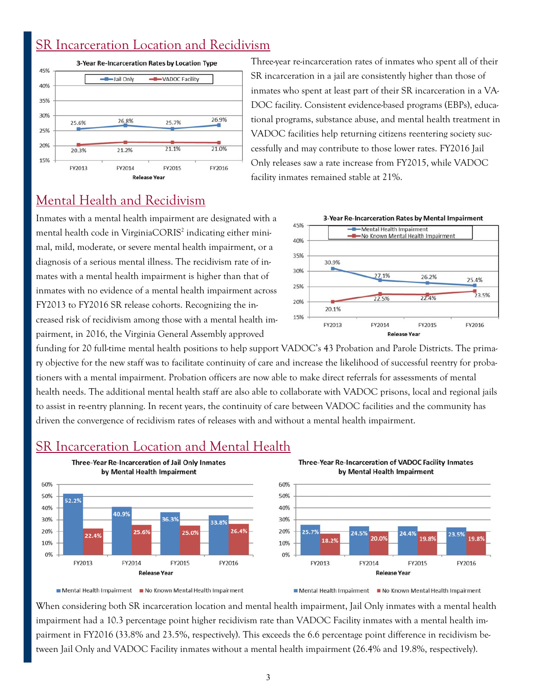# SR Incarceration Location and Recidivism



Three-year re-incarceration rates of inmates who spent all of their SR incarceration in a jail are consistently higher than those of inmates who spent at least part of their SR incarceration in a VA-DOC facility. Consistent evidence-based programs (EBPs), educational programs, substance abuse, and mental health treatment in VADOC facilities help returning citizens reentering society successfully and may contribute to those lower rates. FY2016 Jail Only releases saw a rate increase from FY2015, while VADOC facility inmates remained stable at 21%.

#### Mental Health and Recidivism

Inmates with a mental health impairment are designated with a mental health code in VirginiaCORIS<sup>2</sup> indicating either minimal, mild, moderate, or severe mental health impairment, or a diagnosis of a serious mental illness. The recidivism rate of inmates with a mental health impairment is higher than that of inmates with no evidence of a mental health impairment across FY2013 to FY2016 SR release cohorts. Recognizing the increased risk of recidivism among those with a mental health impairment, in 2016, the Virginia General Assembly approved



funding for 20 full-time mental health positions to help support VADOC's 43 Probation and Parole Districts. The primary objective for the new staff was to facilitate continuity of care and increase the likelihood of successful reentry for probationers with a mental impairment. Probation officers are now able to make direct referrals for assessments of mental health needs. The additional mental health staff are also able to collaborate with VADOC prisons, local and regional jails to assist in re-entry planning. In recent years, the continuity of care between VADOC facilities and the community has driven the convergence of recidivism rates of releases with and without a mental health impairment.

## SR Incarceration Location and Mental Health



Three-Year Re-Incarceration of Jail Only Inmates

Three-Year Re-Incarceration of VADOC Facility Inmates by Mental Health Impairment



Mental Health Impairment No Known Mental Health Impairment

Mental Health Impairment No Known Mental Health Impairment

When considering both SR incarceration location and mental health impairment, Jail Only inmates with a mental health impairment had a 10.3 percentage point higher recidivism rate than VADOC Facility inmates with a mental health impairment in FY2016 (33.8% and 23.5%, respectively). This exceeds the 6.6 percentage point difference in recidivism between Jail Only and VADOC Facility inmates without a mental health impairment (26.4% and 19.8%, respectively).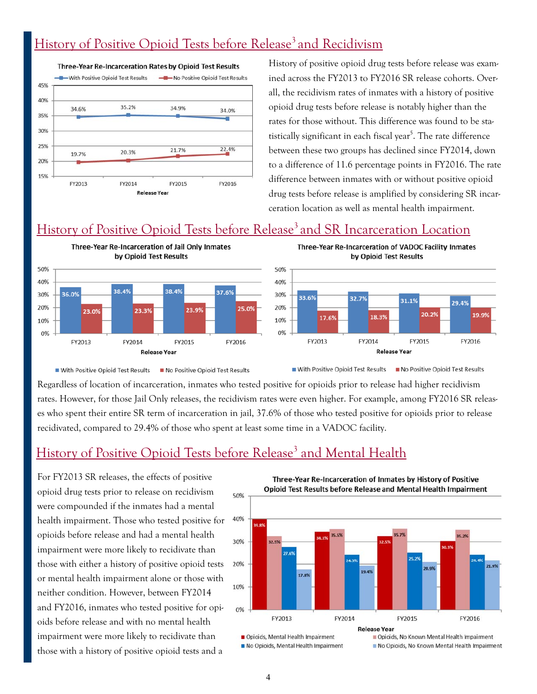## History of Positive Opioid Tests before Release<sup>3</sup> and Recidivism



History of positive opioid drug tests before release was examined across the FY2013 to FY2016 SR release cohorts. Overall, the recidivism rates of inmates with a history of positive opioid drug tests before release is notably higher than the rates for those without. This difference was found to be statistically significant in each fiscal year<sup>5</sup>. The rate difference between these two groups has declined since FY2014, down to a difference of 11.6 percentage points in FY2016. The rate difference between inmates with or without positive opioid drug tests before release is amplified by considering SR incarceration location as well as mental health impairment.

## History of Positive Opioid Tests before Release<sup>3</sup> and SR Incarceration Location



Three-Year Re-Incarceration of VADOC Facility Inmates by Opioid Test Results



■ With Positive Opioid Test Results ■ No Positive Opioid Test Results

■ With Positive Opioid Test Results ■ No Positive Opioid Test Results

Regardless of location of incarceration, inmates who tested positive for opioids prior to release had higher recidivism rates. However, for those Jail Only releases, the recidivism rates were even higher. For example, among FY2016 SR releases who spent their entire SR term of incarceration in jail, 37.6% of those who tested positive for opioids prior to release recidivated, compared to 29.4% of those who spent at least some time in a VADOC facility.

# History of Positive Opioid Tests before Release<sup>3</sup> and Mental Health

For FY2013 SR releases, the effects of positive opioid drug tests prior to release on recidivism were compounded if the inmates had a mental health impairment. Those who tested positive for opioids before release and had a mental health impairment were more likely to recidivate than those with either a history of positive opioid tests or mental health impairment alone or those with neither condition. However, between FY2014 and FY2016, inmates who tested positive for opioids before release and with no mental health impairment were more likely to recidivate than those with a history of positive opioid tests and a

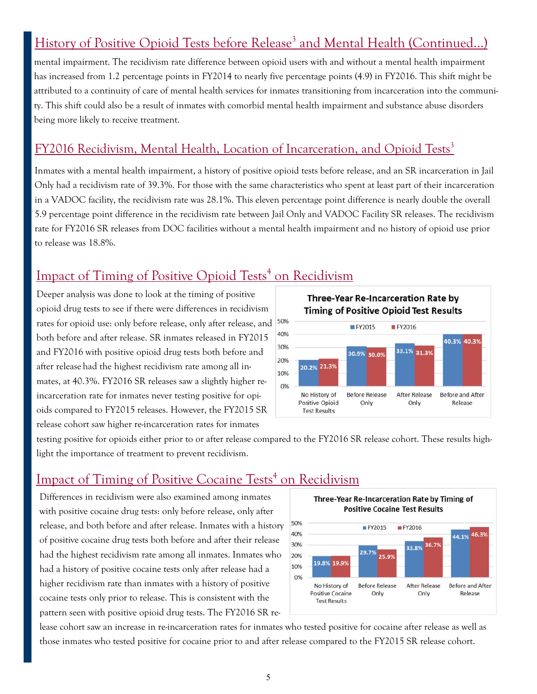# History of Positive Opioid Tests before Release<sup>3</sup> and Mental Health (Continued...)

mental impairment. The recidivism rate difference between opioid users with and without a mental health impairment has increased from 1.2 percentage points in FY2014 to nearly five percentage points (4.9) in FY2016. This shift might be attributed to a continuity of care of mental health services for inmates transitioning from incarceration into the community. This shift could also be a result of inmates with comorbid mental health impairment and substance abuse disorders being more likely to receive treatment.

#### FY2016 Recidivism, Mental Health, Location of Incarceration, and Opioid Tests<sup>3</sup>

Inmates with a mental health impairment, a history of positive opioid tests before release, and an SR incarceration in Jail Only had a recidivism rate of 39.3%. For those with the same characteristics who spent at least part of their incarceration in a VADOC facility, the recidivism rate was 28.1%. This eleven percentage point difference is nearly double the overall 5.9 percentage point difference in the recidivism rate between Jail Only and VADOC Facility SR releases. The recidivism rate for FY2016 SR releases from DOC facilities without a mental health impairment and no history of opioid use prior to release was 18.8%.

#### Impact of Timing of Positive Opioid Tests<sup>4</sup> on Recidivism

Deeper analysis was done to look at the timing of positive opioid drug tests to see if there were differences in recidivism rates for opioid use: only before release, only after release, and both before and after release. SR inmates released in FY2015 and FY2016 with positive opioid drug tests both before and after release had the highest recidivism rate among all inmates, at 40.3%. FY2016 SR releases saw a slightly higher reincarceration rate for inmates never testing positive for opioids compared to FY2015 releases. However, the FY2015 SR release cohort saw higher re-incarceration rates for inmates



testing positive for opioids either prior to or after release compared to the FY2016 SR release cohort. These results highlight the importance of treatment to prevent recidivism.

#### Impact of Timing of Positive Cocaine Tests<sup>4</sup> on Recidivism

Differences in recidivism were also examined among inmates with positive cocaine drug tests: only before release, only after release, and both before and after release. Inmates with a history of positive cocaine drug tests both before and after their release had the highest recidivism rate among all inmates. Inmates who had a history of positive cocaine tests only after release had a higher recidivism rate than inmates with a history of positive cocaine tests only prior to release. This is consistent with the pattern seen with positive opioid drug tests. The FY2016 SR re-



lease cohort saw an increase in re-incarceration rates for inmates who tested positive for cocaine after release as well as those inmates who tested positive for cocaine prior to and after release compared to the FY2015 SR release cohort.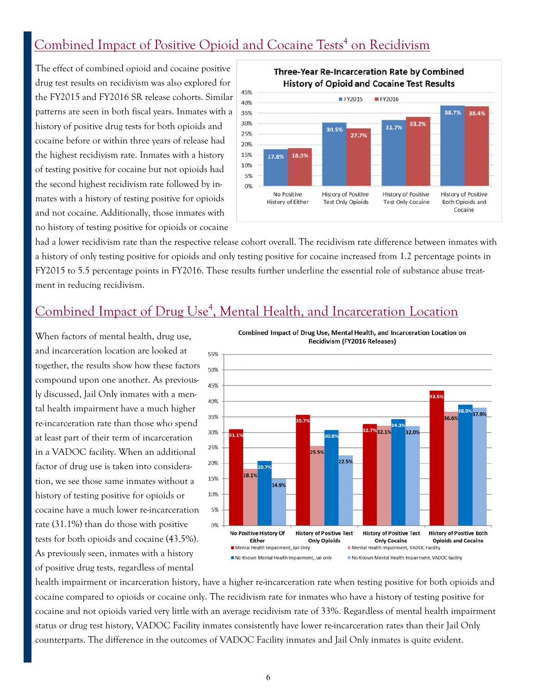# Combined Impact of Positive Opioid and Cocaine Tests<sup>4</sup> on Recidivism

The effect of combined opioid and cocaine positive drug test results on recidivism was also explored for the FY2015 and FY2016 SR release cohorts. Similar patterns are seen in both fiscal years. Inmates with a history of positive drug tests for both opioids and cocaine before or within three years of release had the highest recidivism rate. Inmates with a history of testing positive for cocaine but not opioids had the second highest recidivism rate followed by inmates with a history of testing positive for opioids and not cocaine. Additionally, those inmates with no history of testing positive for opioids or cocaine



had a lower recidivism rate than the respective release cohort overall. The recidivism rate difference between inmates with a history of only testing positive for opioids and only testing positive for cocaine increased from 1.2 percentage points in FY2015 to 5.5 percentage points in FY2016. These results further underline the essential role of substance abuse treatment in reducing recidivism.

#### Combined Impact of Drug Use<sup>4</sup>, Mental Health, and Incarceration Location

When factors of mental health, drug use, and incarceration location are looked at together, the results show how these factors compound upon one another. As previously discussed, Jail Only inmates with a mental health impairment have a much higher re-incarceration rate than those who spend at least part of their term of incarceration in a VADOC facility. When an additional factor of drug use is taken into consideration, we see those same inmates without a history of testing positive for opioids or cocaine have a much lower re-incarceration rate (31.1%) than do those with positive tests for both opioids and cocaine (43.5%). As previously seen, inmates with a history of positive drug tests, regardless of mental



Combined Impact of Drug Use, Mental Health, and Incarceration Location on **Recidivism (FY2016 Releases)** 

health impairment or incarceration history, have a higher re-incarceration rate when testing positive for both opioids and cocaine compared to opioids or cocaine only. The recidivism rate for inmates who have a history of testing positive for cocaine and not opioids varied very little with an average recidivism rate of 33%. Regardless of mental health impairment status or drug test history, VADOC Facility inmates consistently have lower re-incarceration rates than their Jail Only counterparts. The difference in the outcomes of VADOC Facility inmates and Jail Only inmates is quite evident.